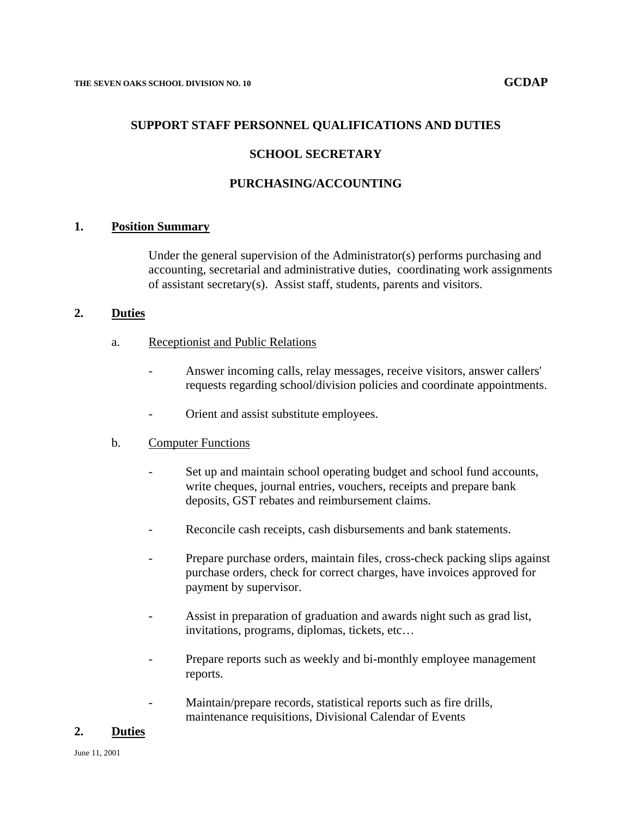#### **SUPPORT STAFF PERSONNEL QUALIFICATIONS AND DUTIES**

#### **SCHOOL SECRETARY**

### **PURCHASING/ACCOUNTING**

#### **1. Position Summary**

Under the general supervision of the Administrator(s) performs purchasing and accounting, secretarial and administrative duties, coordinating work assignments of assistant secretary(s). Assist staff, students, parents and visitors.

## **2. Duties**

- a. Receptionist and Public Relations
	- Answer incoming calls, relay messages, receive visitors, answer callers' requests regarding school/division policies and coordinate appointments.
	- Orient and assist substitute employees.

#### b. Computer Functions

- Set up and maintain school operating budget and school fund accounts, write cheques, journal entries, vouchers, receipts and prepare bank deposits, GST rebates and reimbursement claims.
- Reconcile cash receipts, cash disbursements and bank statements.
- Prepare purchase orders, maintain files, cross-check packing slips against purchase orders, check for correct charges, have invoices approved for payment by supervisor.
- Assist in preparation of graduation and awards night such as grad list, invitations, programs, diplomas, tickets, etc…
- Prepare reports such as weekly and bi-monthly employee management reports.
- Maintain/prepare records, statistical reports such as fire drills, maintenance requisitions, Divisional Calendar of Events

#### **2. Duties**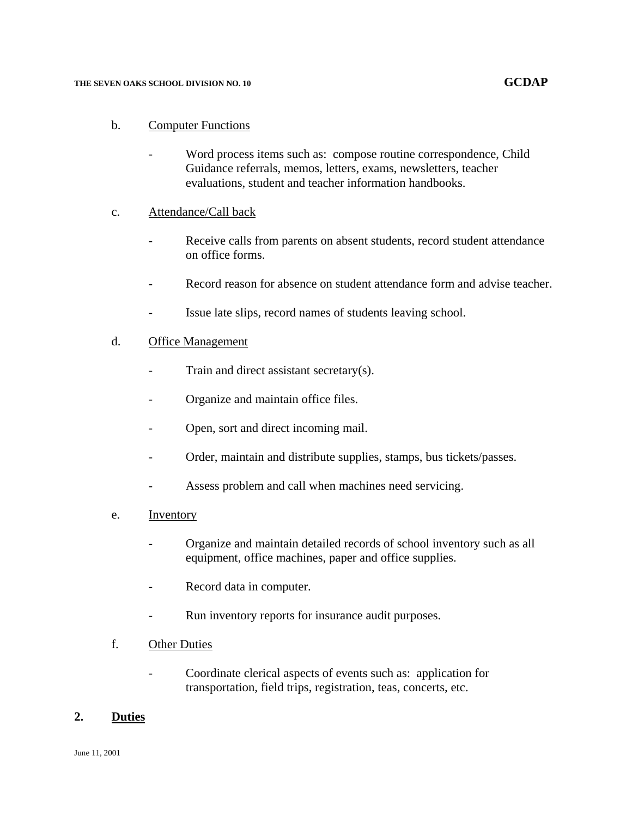#### **THE SEVEN OAKS SCHOOL DIVISION NO. 10 GCDAP**

## b. Computer Functions

Word process items such as: compose routine correspondence, Child Guidance referrals, memos, letters, exams, newsletters, teacher evaluations, student and teacher information handbooks.

## c. Attendance/Call back

- Receive calls from parents on absent students, record student attendance on office forms.
- Record reason for absence on student attendance form and advise teacher.
- Issue late slips, record names of students leaving school.

## d. Office Management

- Train and direct assistant secretary $(s)$ .
- Organize and maintain office files.
- Open, sort and direct incoming mail.
- Order, maintain and distribute supplies, stamps, bus tickets/passes.
- Assess problem and call when machines need servicing.
- e. Inventory
	- Organize and maintain detailed records of school inventory such as all equipment, office machines, paper and office supplies.
	- Record data in computer.
	- Run inventory reports for insurance audit purposes.
- f. Other Duties
	- Coordinate clerical aspects of events such as: application for transportation, field trips, registration, teas, concerts, etc.

## **2. Duties**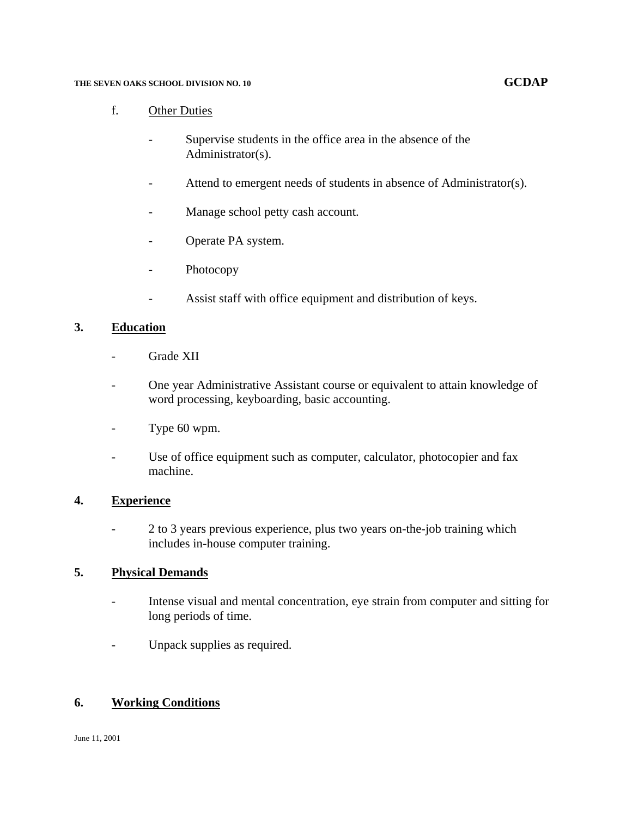#### THE SEVEN OAKS SCHOOL DIVISION NO. 10 **GCDAP GCDAP**

## f. Other Duties

- Supervise students in the office area in the absence of the Administrator(s).
- Attend to emergent needs of students in absence of Administrator(s).
- Manage school petty cash account.
- Operate PA system.
- Photocopy
- Assist staff with office equipment and distribution of keys.

## **3. Education**

- Grade XII
- One year Administrative Assistant course or equivalent to attain knowledge of word processing, keyboarding, basic accounting.
- Type 60 wpm.
- Use of office equipment such as computer, calculator, photocopier and fax machine.

## **4. Experience**

- 2 to 3 years previous experience, plus two years on-the-job training which includes in-house computer training.

## **5. Physical Demands**

- Intense visual and mental concentration, eye strain from computer and sitting for long periods of time.
- Unpack supplies as required.

## **6. Working Conditions**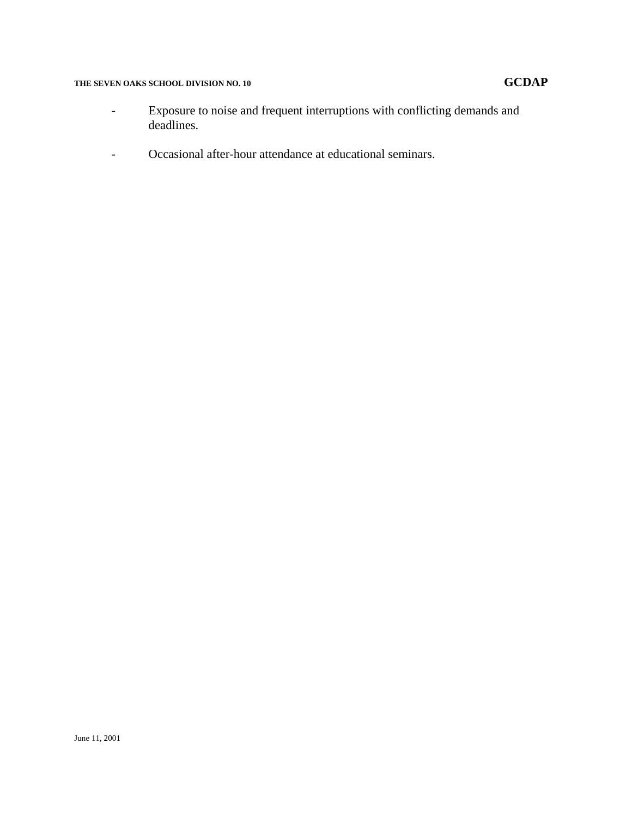# THE SEVEN OAKS SCHOOL DIVISION NO. 10 GCDAP

- Exposure to noise and frequent interruptions with conflicting demands and deadlines.
- Occasional after-hour attendance at educational seminars.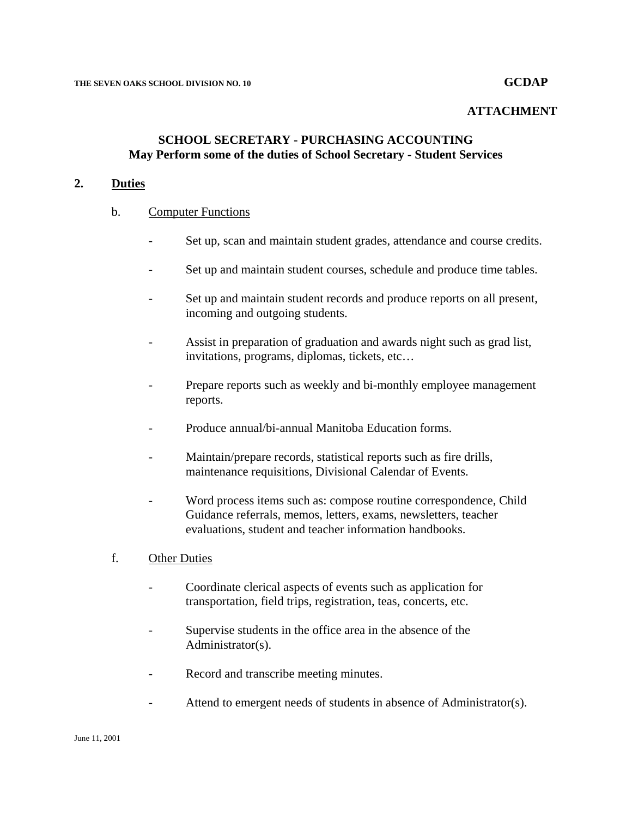#### **ATTACHMENT**

## **SCHOOL SECRETARY - PURCHASING ACCOUNTING May Perform some of the duties of School Secretary - Student Services**

### **2. Duties**

#### b. Computer Functions

- Set up, scan and maintain student grades, attendance and course credits.
- Set up and maintain student courses, schedule and produce time tables.
- Set up and maintain student records and produce reports on all present, incoming and outgoing students.
- Assist in preparation of graduation and awards night such as grad list, invitations, programs, diplomas, tickets, etc…
- Prepare reports such as weekly and bi-monthly employee management reports.
- Produce annual/bi-annual Manitoba Education forms.
- Maintain/prepare records, statistical reports such as fire drills, maintenance requisitions, Divisional Calendar of Events.
- Word process items such as: compose routine correspondence, Child Guidance referrals, memos, letters, exams, newsletters, teacher evaluations, student and teacher information handbooks.

#### f. Other Duties

- Coordinate clerical aspects of events such as application for transportation, field trips, registration, teas, concerts, etc.
- Supervise students in the office area in the absence of the Administrator(s).
- Record and transcribe meeting minutes.
- Attend to emergent needs of students in absence of Administrator(s).